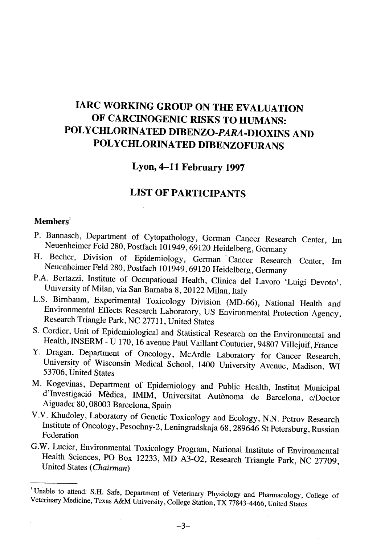# IARC WORKING GROUP ON THE EVALUATION OF CARCINOGENIC RISKS TO HUMANS: POLYCHLORINATED DIBENZO-PARA-DIOXINS AND POLYCHLORINATED DIBENZOFURANS

## Lyon, 4-11 February 1997

## LIST OF PARTICIPANTS

#### $M$ embers<sup>1</sup>

- P. Bannasch, Department of Cytopathology, German Cancer Research Center, Im Neuenheimer Feld 280, Postfach 101949,69120 Heidelberg, Germany
- H. Becher, Division of Epidemiology, German' Cancer Research Center, lm Neuenheimer Feld 280, Postfach 101949,69120 Heidelberg, Germany
- P.A. Bertazzi, Institute of Occupational Health, Clinica deI Lavoro 'Luigi Devoto', University of Milan, via San Baraba 8,20122 Milan, Italy
- L.S. Bimbaum, Experimental Toxicology Division (MD-66), National Health and Environmental Effects Research Laboratory, US Environmental Protection Agency, Research Triangle Park, NC 27711, United States
- S. Cordier, Unit of Epidemiological and Statistical Research on the Environmental and Health, INSERM - U 170, 16 avenue Paul Vailant Couturier, 94807 Villejuif, France
- Y. Dragan, Deparment of Oncology, McArdle Laboratory for Cancer Research, University of Wisconsin Medical School, 1400 University Avenue, Madison, WI 53706, United States
- M. Kogevinas, Deparment of Epidemiology and Public Health, Institut Municipal d'Investigació Mèdica, IMIM, Universitat Autònoma de Barcelona, c/Doctor Aiguader 80, 08003 Barcelona, Spain
- V.V. Khudoley, Laboratory of Genetic Toxicology and Ecology, N.N. Petrov Research Institute of Oncology, Pesochny-2, Leningradskaja 68, 289646 St Petersburg, Russian Federation
- G.W. Lucier, Environmental Toxicology Program, National Institute of Environmental Health Sciences, PO Box 12233, MD A3-02, Research Triangle Park, NC 27709, United States (Chairman)

<sup>&</sup>lt;sup>1</sup> Unable to attend: S.H. Safe, Department of Veterinary Physiology and Pharmacology, College of Veterinary Medicine, Texas A&M University, College Station, TX 77843-4466, United States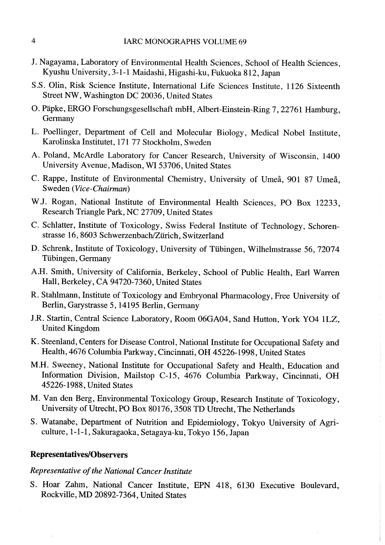- J. Nagayama, Laboratory of Environmental Health Sciences, School of Health Sciences, Kyushu University, 3-1-1 Maidashi, Higashi-ku, Fukuoka 812, Japan
- S.S. Olin, Risk Science Institute, International Life Sciences Institute, 1126 Sixteenth Street NW, Washington DC 20036, United States
- O. Päpke, ERGO ForschungsgeselIschaft mbH, Albert-Einstein-Ring 7, 22761 Hamburg, Germany
- L. Poellnger, Department of Cell and Molecular Biology, Medical Nobel Institute, Karolinska Institutet, 171 77 Stockholm, Sweden
- A. Poland, McArdle Laboratory for Cancer Research, University of Wisconsin, 1400 University Avenue, Madison, WI 53706, United States
- C. Rappe, Institute of Environmental Chemistry, University of Umeå, 901 87 Umeå, Sweden (Vice-Chairman)
- W.J. Rogan, National Institute of Environmental Health Sciences, PO Box 12233, Research Triangle Park, NC 27709, United States
- C. Schlatter, Institute of Toxicology, Swiss Federal Institute of Technology, Schorenstrasse 16,8603 Schwerzenbach/Zürich, Switzerland
- D. Schrenk, Institute of Toxicology, University of Tübingen, Wilhelmstrasse 56, 72074 Tübingen, Germany
- A.H. Smith, University of Califomia, Berkeley, School of Public Health, Earl Waren Hall, Berkeley, CA 94720-7360, United States
- R. Stahlmann, Institute of Toxicology and Embryonal Pharacology, Free University of Berlin, Garystrasse 5, 14195 Berlin, Germany
- J.R. Starin, Central Science Laboratory, Room 06GA04, Sand Hutton, York Y04 lLZ, United Kingdom
- K. Steenland, Centers for Disease Control, National Institute for Occupational Safety and Health, 4676 Columbia Parkway, Cincinnati, OH 45226-1998, United States
- M.H. Sweeney, National Institute for Occupational Safety and Health, Education and Information Division, Mailstop C-15, 4676 Columbia Parkway, Cincinnati, OH 45226-1988, United States
- M. Van den Berg, Environmental Toxicology Group, Research Institute of Toxicology, University of Utrecht, PO Box 80176,3508 TD Utrecht, The Netherlands
- S. Watanabe, Department of Nutrition and Epidemiology, Tokyo University of Agriculture, 1-1-1, Sakuragaoka, Setagaya-ku, Tokyo 156, Japan

## Representatives/Observers

### Representative of the National Cancer Institute

S. Hoar Zahm, National Cancer Institute, EPN 418, 6130 Executive Boulevard, Rockvile, MD 20892-7364, United States